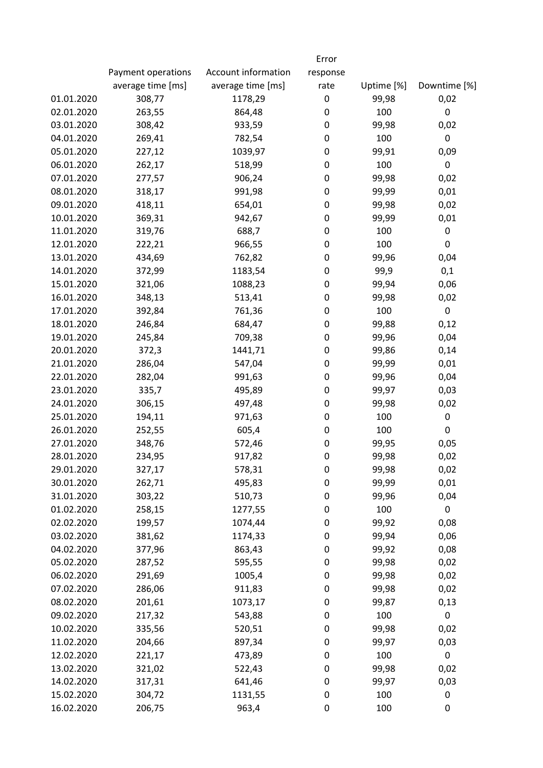|            |                    |                     | Error    |            |                  |
|------------|--------------------|---------------------|----------|------------|------------------|
|            | Payment operations | Account information | response |            |                  |
|            | average time [ms]  | average time [ms]   | rate     | Uptime [%] | Downtime [%]     |
| 01.01.2020 | 308,77             | 1178,29             | 0        | 99,98      | 0,02             |
| 02.01.2020 | 263,55             | 864,48              | 0        | 100        | $\boldsymbol{0}$ |
| 03.01.2020 | 308,42             | 933,59              | 0        | 99,98      | 0,02             |
| 04.01.2020 | 269,41             | 782,54              | 0        | 100        | $\boldsymbol{0}$ |
| 05.01.2020 | 227,12             | 1039,97             | 0        | 99,91      | 0,09             |
| 06.01.2020 | 262,17             | 518,99              | 0        | 100        | 0                |
| 07.01.2020 | 277,57             | 906,24              | 0        | 99,98      | 0,02             |
| 08.01.2020 | 318,17             | 991,98              | 0        | 99,99      | 0,01             |
| 09.01.2020 | 418,11             | 654,01              | 0        | 99,98      | 0,02             |
| 10.01.2020 | 369,31             | 942,67              | 0        | 99,99      | 0,01             |
| 11.01.2020 | 319,76             | 688,7               | 0        | 100        | 0                |
| 12.01.2020 | 222,21             | 966,55              | 0        | 100        | $\pmb{0}$        |
| 13.01.2020 | 434,69             | 762,82              | 0        | 99,96      | 0,04             |
| 14.01.2020 | 372,99             | 1183,54             | 0        | 99,9       | 0,1              |
| 15.01.2020 | 321,06             | 1088,23             | 0        | 99,94      | 0,06             |
| 16.01.2020 | 348,13             | 513,41              | 0        | 99,98      | 0,02             |
| 17.01.2020 | 392,84             | 761,36              | 0        | 100        | $\boldsymbol{0}$ |
| 18.01.2020 | 246,84             | 684,47              | 0        | 99,88      | 0,12             |
| 19.01.2020 | 245,84             | 709,38              | 0        | 99,96      | 0,04             |
| 20.01.2020 | 372,3              | 1441,71             | 0        | 99,86      | 0,14             |
| 21.01.2020 | 286,04             | 547,04              | 0        | 99,99      | 0,01             |
| 22.01.2020 | 282,04             | 991,63              | 0        | 99,96      | 0,04             |
| 23.01.2020 | 335,7              | 495,89              | 0        | 99,97      | 0,03             |
| 24.01.2020 | 306,15             | 497,48              | 0        | 99,98      | 0,02             |
| 25.01.2020 | 194,11             | 971,63              | 0        | 100        | 0                |
| 26.01.2020 | 252,55             | 605,4               | 0        | 100        | 0                |
| 27.01.2020 | 348,76             | 572,46              | 0        | 99,95      | 0,05             |
| 28.01.2020 | 234,95             | 917,82              | 0        | 99,98      | 0,02             |
| 29.01.2020 | 327,17             | 578,31              | 0        | 99,98      | 0,02             |
| 30.01.2020 | 262,71             | 495,83              | 0        | 99,99      | 0,01             |
| 31.01.2020 | 303,22             | 510,73              | 0        | 99,96      | 0,04             |
| 01.02.2020 | 258,15             | 1277,55             | 0        | 100        | 0                |
| 02.02.2020 | 199,57             | 1074,44             | 0        | 99,92      | 0,08             |
| 03.02.2020 | 381,62             | 1174,33             | 0        | 99,94      | 0,06             |
| 04.02.2020 | 377,96             | 863,43              | 0        | 99,92      | 0,08             |
| 05.02.2020 | 287,52             | 595,55              | 0        | 99,98      | 0,02             |
| 06.02.2020 | 291,69             | 1005,4              | 0        | 99,98      | 0,02             |
| 07.02.2020 | 286,06             | 911,83              | 0        | 99,98      | 0,02             |
| 08.02.2020 | 201,61             | 1073,17             | 0        | 99,87      | 0,13             |
| 09.02.2020 | 217,32             | 543,88              | 0        | 100        | 0                |
| 10.02.2020 | 335,56             | 520,51              | 0        | 99,98      | 0,02             |
| 11.02.2020 | 204,66             | 897,34              | 0        | 99,97      | 0,03             |
| 12.02.2020 | 221,17             | 473,89              | 0        | 100        | $\pmb{0}$        |
| 13.02.2020 | 321,02             | 522,43              | 0        | 99,98      | 0,02             |
| 14.02.2020 | 317,31             | 641,46              | 0        | 99,97      | 0,03             |
| 15.02.2020 | 304,72             | 1131,55             | 0        | 100        | 0                |
| 16.02.2020 | 206,75             | 963,4               | 0        | 100        | 0                |
|            |                    |                     |          |            |                  |